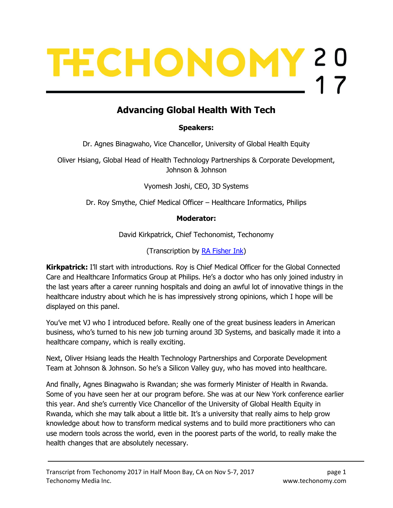# TECHONOMY 20

# Advancing Global Health With Tech

Speakers:

Dr. Agnes Binagwaho, Vice Chancellor, University of Global Health Equity

Oliver Hsiang, Global Head of Health Technology Partnerships & Corporate Development, Johnson & Johnson

Vyomesh Joshi, CEO, 3D Systems

Dr. Roy Smythe, Chief Medical Officer – Healthcare Informatics, Philips

#### Moderator:

David Kirkpatrick, Chief Techonomist, Techonomy

(Transcription by RA Fisher Ink)

**Kirkpatrick:** I'll start with introductions. Roy is Chief Medical Officer for the Global Connected Care and Healthcare Informatics Group at Philips. He's a doctor who has only joined industry in the last years after a career running hospitals and doing an awful lot of innovative things in the healthcare industry about which he is has impressively strong opinions, which I hope will be displayed on this panel.

You've met VJ who I introduced before. Really one of the great business leaders in American business, who's turned to his new job turning around 3D Systems, and basically made it into a healthcare company, which is really exciting.

Next, Oliver Hsiang leads the Health Technology Partnerships and Corporate Development Team at Johnson & Johnson. So he's a Silicon Valley guy, who has moved into healthcare.

And finally, Agnes Binagwaho is Rwandan; she was formerly Minister of Health in Rwanda. Some of you have seen her at our program before. She was at our New York conference earlier this year. And she's currently Vice Chancellor of the University of Global Health Equity in Rwanda, which she may talk about a little bit. It's a university that really aims to help grow knowledge about how to transform medical systems and to build more practitioners who can use modern tools across the world, even in the poorest parts of the world, to really make the health changes that are absolutely necessary.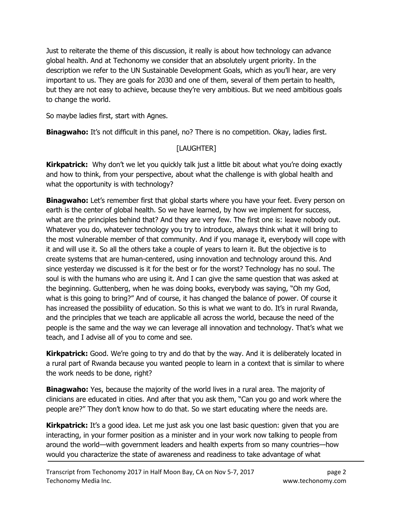Just to reiterate the theme of this discussion, it really is about how technology can advance global health. And at Techonomy we consider that an absolutely urgent priority. In the description we refer to the UN Sustainable Development Goals, which as you'll hear, are very important to us. They are goals for 2030 and one of them, several of them pertain to health, but they are not easy to achieve, because they're very ambitious. But we need ambitious goals to change the world.

So maybe ladies first, start with Agnes.

**Binagwaho:** It's not difficult in this panel, no? There is no competition. Okay, ladies first.

### [LAUGHTER]

**Kirkpatrick:** Why don't we let you quickly talk just a little bit about what you're doing exactly and how to think, from your perspective, about what the challenge is with global health and what the opportunity is with technology?

**Binagwaho:** Let's remember first that global starts where you have your feet. Every person on earth is the center of global health. So we have learned, by how we implement for success, what are the principles behind that? And they are very few. The first one is: leave nobody out. Whatever you do, whatever technology you try to introduce, always think what it will bring to the most vulnerable member of that community. And if you manage it, everybody will cope with it and will use it. So all the others take a couple of years to learn it. But the objective is to create systems that are human-centered, using innovation and technology around this. And since yesterday we discussed is it for the best or for the worst? Technology has no soul. The soul is with the humans who are using it. And I can give the same question that was asked at the beginning. Guttenberg, when he was doing books, everybody was saying, "Oh my God, what is this going to bring?" And of course, it has changed the balance of power. Of course it has increased the possibility of education. So this is what we want to do. It's in rural Rwanda, and the principles that we teach are applicable all across the world, because the need of the people is the same and the way we can leverage all innovation and technology. That's what we teach, and I advise all of you to come and see.

**Kirkpatrick:** Good. We're going to try and do that by the way. And it is deliberately located in a rural part of Rwanda because you wanted people to learn in a context that is similar to where the work needs to be done, right?

**Binagwaho:** Yes, because the majority of the world lives in a rural area. The majority of clinicians are educated in cities. And after that you ask them, "Can you go and work where the people are?" They don't know how to do that. So we start educating where the needs are.

**Kirkpatrick:** It's a good idea. Let me just ask you one last basic question: given that you are interacting, in your former position as a minister and in your work now talking to people from around the world—with government leaders and health experts from so many countries—how would you characterize the state of awareness and readiness to take advantage of what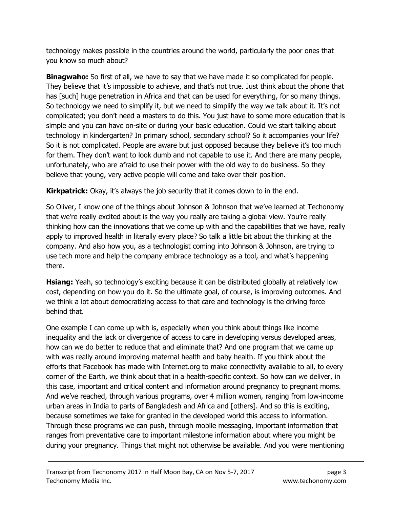technology makes possible in the countries around the world, particularly the poor ones that you know so much about?

**Binagwaho:** So first of all, we have to say that we have made it so complicated for people. They believe that it's impossible to achieve, and that's not true. Just think about the phone that has [such] huge penetration in Africa and that can be used for everything, for so many things. So technology we need to simplify it, but we need to simplify the way we talk about it. It's not complicated; you don't need a masters to do this. You just have to some more education that is simple and you can have on-site or during your basic education. Could we start talking about technology in kindergarten? In primary school, secondary school? So it accompanies your life? So it is not complicated. People are aware but just opposed because they believe it's too much for them. They don't want to look dumb and not capable to use it. And there are many people, unfortunately, who are afraid to use their power with the old way to do business. So they believe that young, very active people will come and take over their position.

**Kirkpatrick:** Okay, it's always the job security that it comes down to in the end.

So Oliver, I know one of the things about Johnson & Johnson that we've learned at Techonomy that we're really excited about is the way you really are taking a global view. You're really thinking how can the innovations that we come up with and the capabilities that we have, really apply to improved health in literally every place? So talk a little bit about the thinking at the company. And also how you, as a technologist coming into Johnson & Johnson, are trying to use tech more and help the company embrace technology as a tool, and what's happening there.

**Hsiang:** Yeah, so technology's exciting because it can be distributed globally at relatively low cost, depending on how you do it. So the ultimate goal, of course, is improving outcomes. And we think a lot about democratizing access to that care and technology is the driving force behind that.

One example I can come up with is, especially when you think about things like income inequality and the lack or divergence of access to care in developing versus developed areas, how can we do better to reduce that and eliminate that? And one program that we came up with was really around improving maternal health and baby health. If you think about the efforts that Facebook has made with Internet.org to make connectivity available to all, to every corner of the Earth, we think about that in a health-specific context. So how can we deliver, in this case, important and critical content and information around pregnancy to pregnant moms. And we've reached, through various programs, over 4 million women, ranging from low-income urban areas in India to parts of Bangladesh and Africa and [others]. And so this is exciting, because sometimes we take for granted in the developed world this access to information. Through these programs we can push, through mobile messaging, important information that ranges from preventative care to important milestone information about where you might be during your pregnancy. Things that might not otherwise be available. And you were mentioning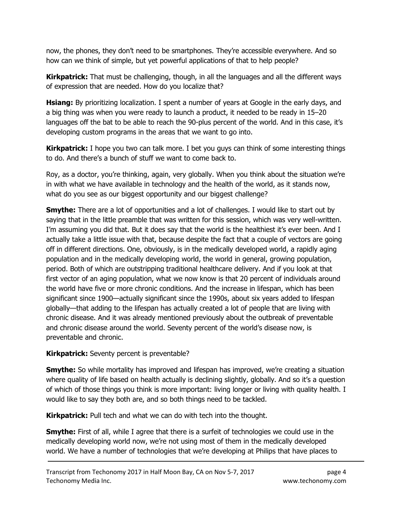now, the phones, they don't need to be smartphones. They're accessible everywhere. And so how can we think of simple, but yet powerful applications of that to help people?

**Kirkpatrick:** That must be challenging, though, in all the languages and all the different ways of expression that are needed. How do you localize that?

**Hsiang:** By prioritizing localization. I spent a number of years at Google in the early days, and a big thing was when you were ready to launch a product, it needed to be ready in 15–20 languages off the bat to be able to reach the 90-plus percent of the world. And in this case, it's developing custom programs in the areas that we want to go into.

**Kirkpatrick:** I hope you two can talk more. I bet you guys can think of some interesting things to do. And there's a bunch of stuff we want to come back to.

Roy, as a doctor, you're thinking, again, very globally. When you think about the situation we're in with what we have available in technology and the health of the world, as it stands now, what do you see as our biggest opportunity and our biggest challenge?

**Smythe:** There are a lot of opportunities and a lot of challenges. I would like to start out by saying that in the little preamble that was written for this session, which was very well-written. I'm assuming you did that. But it does say that the world is the healthiest it's ever been. And I actually take a little issue with that, because despite the fact that a couple of vectors are going off in different directions. One, obviously, is in the medically developed world, a rapidly aging population and in the medically developing world, the world in general, growing population, period. Both of which are outstripping traditional healthcare delivery. And if you look at that first vector of an aging population, what we now know is that 20 percent of individuals around the world have five or more chronic conditions. And the increase in lifespan, which has been significant since 1900—actually significant since the 1990s, about six years added to lifespan globally—that adding to the lifespan has actually created a lot of people that are living with chronic disease. And it was already mentioned previously about the outbreak of preventable and chronic disease around the world. Seventy percent of the world's disease now, is preventable and chronic.

**Kirkpatrick:** Seventy percent is preventable?

**Smythe:** So while mortality has improved and lifespan has improved, we're creating a situation where quality of life based on health actually is declining slightly, globally. And so it's a question of which of those things you think is more important: living longer or living with quality health. I would like to say they both are, and so both things need to be tackled.

**Kirkpatrick:** Pull tech and what we can do with tech into the thought.

**Smythe:** First of all, while I agree that there is a surfeit of technologies we could use in the medically developing world now, we're not using most of them in the medically developed world. We have a number of technologies that we're developing at Philips that have places to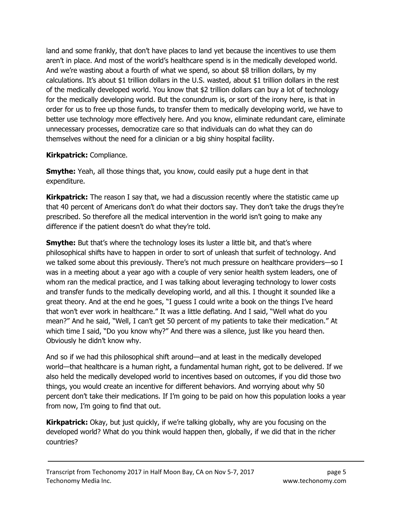land and some frankly, that don't have places to land yet because the incentives to use them aren't in place. And most of the world's healthcare spend is in the medically developed world. And we're wasting about a fourth of what we spend, so about \$8 trillion dollars, by my calculations. It's about \$1 trillion dollars in the U.S. wasted, about \$1 trillion dollars in the rest of the medically developed world. You know that \$2 trillion dollars can buy a lot of technology for the medically developing world. But the conundrum is, or sort of the irony here, is that in order for us to free up those funds, to transfer them to medically developing world, we have to better use technology more effectively here. And you know, eliminate redundant care, eliminate unnecessary processes, democratize care so that individuals can do what they can do themselves without the need for a clinician or a big shiny hospital facility.

#### Kirkpatrick: Compliance.

**Smythe:** Yeah, all those things that, you know, could easily put a huge dent in that expenditure.

**Kirkpatrick:** The reason I say that, we had a discussion recently where the statistic came up that 40 percent of Americans don't do what their doctors say. They don't take the drugs they're prescribed. So therefore all the medical intervention in the world isn't going to make any difference if the patient doesn't do what they're told.

**Smythe:** But that's where the technology loses its luster a little bit, and that's where philosophical shifts have to happen in order to sort of unleash that surfeit of technology. And we talked some about this previously. There's not much pressure on healthcare providers—so I was in a meeting about a year ago with a couple of very senior health system leaders, one of whom ran the medical practice, and I was talking about leveraging technology to lower costs and transfer funds to the medically developing world, and all this. I thought it sounded like a great theory. And at the end he goes, "I guess I could write a book on the things I've heard that won't ever work in healthcare." It was a little deflating. And I said, "Well what do you mean?" And he said, "Well, I can't get 50 percent of my patients to take their medication." At which time I said, "Do you know why?" And there was a silence, just like you heard then. Obviously he didn't know why.

And so if we had this philosophical shift around—and at least in the medically developed world—that healthcare is a human right, a fundamental human right, got to be delivered. If we also held the medically developed world to incentives based on outcomes, if you did those two things, you would create an incentive for different behaviors. And worrying about why 50 percent don't take their medications. If I'm going to be paid on how this population looks a year from now, I'm going to find that out.

**Kirkpatrick:** Okay, but just quickly, if we're talking globally, why are you focusing on the developed world? What do you think would happen then, globally, if we did that in the richer countries?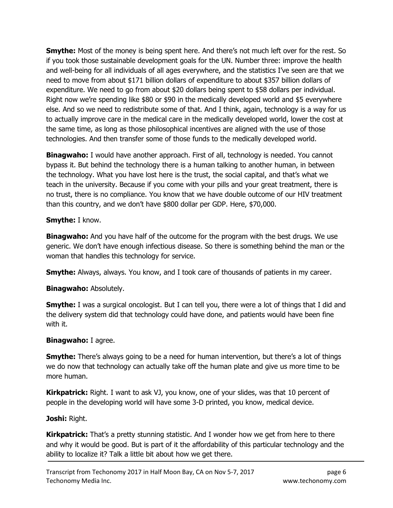**Smythe:** Most of the money is being spent here. And there's not much left over for the rest. So if you took those sustainable development goals for the UN. Number three: improve the health and well-being for all individuals of all ages everywhere, and the statistics I've seen are that we need to move from about \$171 billion dollars of expenditure to about \$357 billion dollars of expenditure. We need to go from about \$20 dollars being spent to \$58 dollars per individual. Right now we're spending like \$80 or \$90 in the medically developed world and \$5 everywhere else. And so we need to redistribute some of that. And I think, again, technology is a way for us to actually improve care in the medical care in the medically developed world, lower the cost at the same time, as long as those philosophical incentives are aligned with the use of those technologies. And then transfer some of those funds to the medically developed world.

**Binagwaho:** I would have another approach. First of all, technology is needed. You cannot bypass it. But behind the technology there is a human talking to another human, in between the technology. What you have lost here is the trust, the social capital, and that's what we teach in the university. Because if you come with your pills and your great treatment, there is no trust, there is no compliance. You know that we have double outcome of our HIV treatment than this country, and we don't have \$800 dollar per GDP. Here, \$70,000.

#### Smythe: I know.

**Binagwaho:** And you have half of the outcome for the program with the best drugs. We use generic. We don't have enough infectious disease. So there is something behind the man or the woman that handles this technology for service.

**Smythe:** Always, always. You know, and I took care of thousands of patients in my career.

#### Binagwaho: Absolutely.

**Smythe:** I was a surgical oncologist. But I can tell you, there were a lot of things that I did and the delivery system did that technology could have done, and patients would have been fine with it.

#### Binagwaho: I agree.

**Smythe:** There's always going to be a need for human intervention, but there's a lot of things we do now that technology can actually take off the human plate and give us more time to be more human.

**Kirkpatrick:** Right. I want to ask VJ, you know, one of your slides, was that 10 percent of people in the developing world will have some 3-D printed, you know, medical device.

#### Joshi: Right.

**Kirkpatrick:** That's a pretty stunning statistic. And I wonder how we get from here to there and why it would be good. But is part of it the affordability of this particular technology and the ability to localize it? Talk a little bit about how we get there.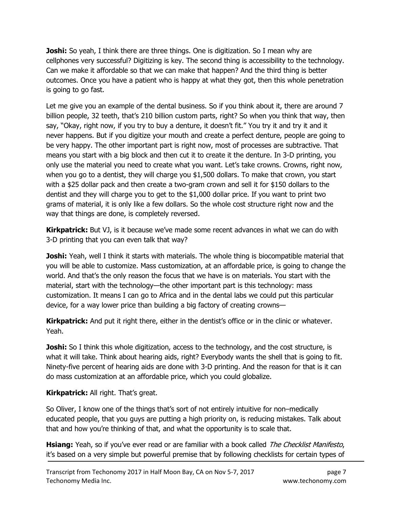**Joshi:** So yeah, I think there are three things. One is digitization. So I mean why are cellphones very successful? Digitizing is key. The second thing is accessibility to the technology. Can we make it affordable so that we can make that happen? And the third thing is better outcomes. Once you have a patient who is happy at what they got, then this whole penetration is going to go fast.

Let me give you an example of the dental business. So if you think about it, there are around 7 billion people, 32 teeth, that's 210 billion custom parts, right? So when you think that way, then say, "Okay, right now, if you try to buy a denture, it doesn't fit." You try it and try it and it never happens. But if you digitize your mouth and create a perfect denture, people are going to be very happy. The other important part is right now, most of processes are subtractive. That means you start with a big block and then cut it to create it the denture. In 3-D printing, you only use the material you need to create what you want. Let's take crowns. Crowns, right now, when you go to a dentist, they will charge you \$1,500 dollars. To make that crown, you start with a \$25 dollar pack and then create a two-gram crown and sell it for \$150 dollars to the dentist and they will charge you to get to the \$1,000 dollar price. If you want to print two grams of material, it is only like a few dollars. So the whole cost structure right now and the way that things are done, is completely reversed.

**Kirkpatrick:** But VJ, is it because we've made some recent advances in what we can do with 3-D printing that you can even talk that way?

**Joshi:** Yeah, well I think it starts with materials. The whole thing is biocompatible material that you will be able to customize. Mass customization, at an affordable price, is going to change the world. And that's the only reason the focus that we have is on materials. You start with the material, start with the technology—the other important part is this technology: mass customization. It means I can go to Africa and in the dental labs we could put this particular device, for a way lower price than building a big factory of creating crowns—

**Kirkpatrick:** And put it right there, either in the dentist's office or in the clinic or whatever. Yeah.

**Joshi:** So I think this whole digitization, access to the technology, and the cost structure, is what it will take. Think about hearing aids, right? Everybody wants the shell that is going to fit. Ninety-five percent of hearing aids are done with 3-D printing. And the reason for that is it can do mass customization at an affordable price, which you could globalize.

Kirkpatrick: All right. That's great.

So Oliver, I know one of the things that's sort of not entirely intuitive for non–medically educated people, that you guys are putting a high priority on, is reducing mistakes. Talk about that and how you're thinking of that, and what the opportunity is to scale that.

**Hsiang:** Yeah, so if you've ever read or are familiar with a book called *The Checklist Manifesto*, it's based on a very simple but powerful premise that by following checklists for certain types of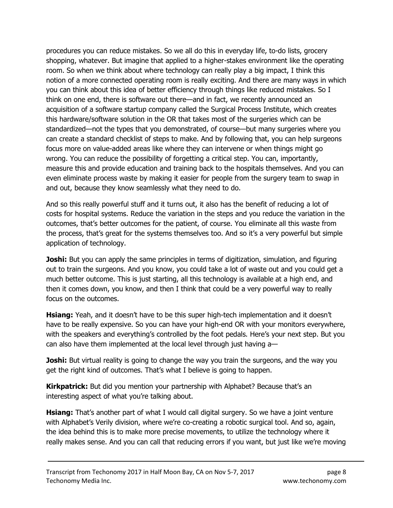procedures you can reduce mistakes. So we all do this in everyday life, to-do lists, grocery shopping, whatever. But imagine that applied to a higher-stakes environment like the operating room. So when we think about where technology can really play a big impact, I think this notion of a more connected operating room is really exciting. And there are many ways in which you can think about this idea of better efficiency through things like reduced mistakes. So I think on one end, there is software out there—and in fact, we recently announced an acquisition of a software startup company called the Surgical Process Institute, which creates this hardware/software solution in the OR that takes most of the surgeries which can be standardized—not the types that you demonstrated, of course—but many surgeries where you can create a standard checklist of steps to make. And by following that, you can help surgeons focus more on value-added areas like where they can intervene or when things might go wrong. You can reduce the possibility of forgetting a critical step. You can, importantly, measure this and provide education and training back to the hospitals themselves. And you can even eliminate process waste by making it easier for people from the surgery team to swap in and out, because they know seamlessly what they need to do.

And so this really powerful stuff and it turns out, it also has the benefit of reducing a lot of costs for hospital systems. Reduce the variation in the steps and you reduce the variation in the outcomes, that's better outcomes for the patient, of course. You eliminate all this waste from the process, that's great for the systems themselves too. And so it's a very powerful but simple application of technology.

**Joshi:** But you can apply the same principles in terms of digitization, simulation, and figuring out to train the surgeons. And you know, you could take a lot of waste out and you could get a much better outcome. This is just starting, all this technology is available at a high end, and then it comes down, you know, and then I think that could be a very powerful way to really focus on the outcomes.

**Hsiang:** Yeah, and it doesn't have to be this super high-tech implementation and it doesn't have to be really expensive. So you can have your high-end OR with your monitors everywhere, with the speakers and everything's controlled by the foot pedals. Here's your next step. But you can also have them implemented at the local level through just having a—

**Joshi:** But virtual reality is going to change the way you train the surgeons, and the way you get the right kind of outcomes. That's what I believe is going to happen.

**Kirkpatrick:** But did you mention your partnership with Alphabet? Because that's an interesting aspect of what you're talking about.

**Hsiang:** That's another part of what I would call digital surgery. So we have a joint venture with Alphabet's Verily division, where we're co-creating a robotic surgical tool. And so, again, the idea behind this is to make more precise movements, to utilize the technology where it really makes sense. And you can call that reducing errors if you want, but just like we're moving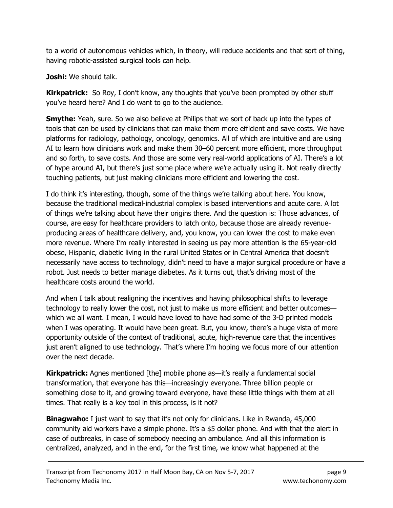to a world of autonomous vehicles which, in theory, will reduce accidents and that sort of thing, having robotic-assisted surgical tools can help.

Joshi: We should talk.

**Kirkpatrick:** So Roy, I don't know, any thoughts that you've been prompted by other stuff you've heard here? And I do want to go to the audience.

**Smythe:** Yeah, sure. So we also believe at Philips that we sort of back up into the types of tools that can be used by clinicians that can make them more efficient and save costs. We have platforms for radiology, pathology, oncology, genomics. All of which are intuitive and are using AI to learn how clinicians work and make them 30–60 percent more efficient, more throughput and so forth, to save costs. And those are some very real-world applications of AI. There's a lot of hype around AI, but there's just some place where we're actually using it. Not really directly touching patients, but just making clinicians more efficient and lowering the cost.

I do think it's interesting, though, some of the things we're talking about here. You know, because the traditional medical-industrial complex is based interventions and acute care. A lot of things we're talking about have their origins there. And the question is: Those advances, of course, are easy for healthcare providers to latch onto, because those are already revenueproducing areas of healthcare delivery, and, you know, you can lower the cost to make even more revenue. Where I'm really interested in seeing us pay more attention is the 65-year-old obese, Hispanic, diabetic living in the rural United States or in Central America that doesn't necessarily have access to technology, didn't need to have a major surgical procedure or have a robot. Just needs to better manage diabetes. As it turns out, that's driving most of the healthcare costs around the world.

And when I talk about realigning the incentives and having philosophical shifts to leverage technology to really lower the cost, not just to make us more efficient and better outcomes which we all want. I mean, I would have loved to have had some of the 3-D printed models when I was operating. It would have been great. But, you know, there's a huge vista of more opportunity outside of the context of traditional, acute, high-revenue care that the incentives just aren't aligned to use technology. That's where I'm hoping we focus more of our attention over the next decade.

**Kirkpatrick:** Agnes mentioned [the] mobile phone as—it's really a fundamental social transformation, that everyone has this—increasingly everyone. Three billion people or something close to it, and growing toward everyone, have these little things with them at all times. That really is a key tool in this process, is it not?

**Binagwaho:** I just want to say that it's not only for clinicians. Like in Rwanda, 45,000 community aid workers have a simple phone. It's a \$5 dollar phone. And with that the alert in case of outbreaks, in case of somebody needing an ambulance. And all this information is centralized, analyzed, and in the end, for the first time, we know what happened at the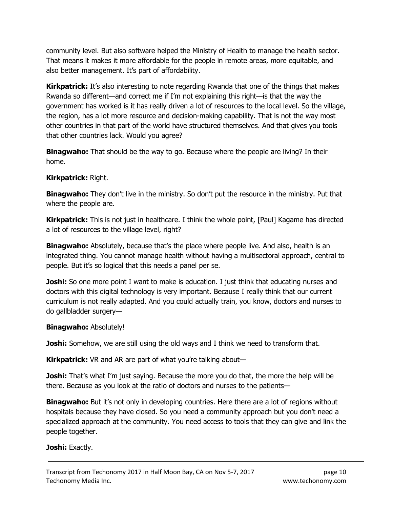community level. But also software helped the Ministry of Health to manage the health sector. That means it makes it more affordable for the people in remote areas, more equitable, and also better management. It's part of affordability.

**Kirkpatrick:** It's also interesting to note regarding Rwanda that one of the things that makes Rwanda so different—and correct me if I'm not explaining this right—is that the way the government has worked is it has really driven a lot of resources to the local level. So the village, the region, has a lot more resource and decision-making capability. That is not the way most other countries in that part of the world have structured themselves. And that gives you tools that other countries lack. Would you agree?

**Binagwaho:** That should be the way to go. Because where the people are living? In their home.

#### Kirkpatrick: Right.

**Binagwaho:** They don't live in the ministry. So don't put the resource in the ministry. Put that where the people are.

**Kirkpatrick:** This is not just in healthcare. I think the whole point, [Paul] Kagame has directed a lot of resources to the village level, right?

**Binagwaho:** Absolutely, because that's the place where people live. And also, health is an integrated thing. You cannot manage health without having a multisectoral approach, central to people. But it's so logical that this needs a panel per se.

**Joshi:** So one more point I want to make is education. I just think that educating nurses and doctors with this digital technology is very important. Because I really think that our current curriculum is not really adapted. And you could actually train, you know, doctors and nurses to do gallbladder surgery—

#### Binagwaho: Absolutely!

**Joshi:** Somehow, we are still using the old ways and I think we need to transform that.

Kirkpatrick: VR and AR are part of what you're talking about-

**Joshi:** That's what I'm just saying. Because the more you do that, the more the help will be there. Because as you look at the ratio of doctors and nurses to the patients—

**Binagwaho:** But it's not only in developing countries. Here there are a lot of regions without hospitals because they have closed. So you need a community approach but you don't need a specialized approach at the community. You need access to tools that they can give and link the people together.

#### Joshi: Exactly.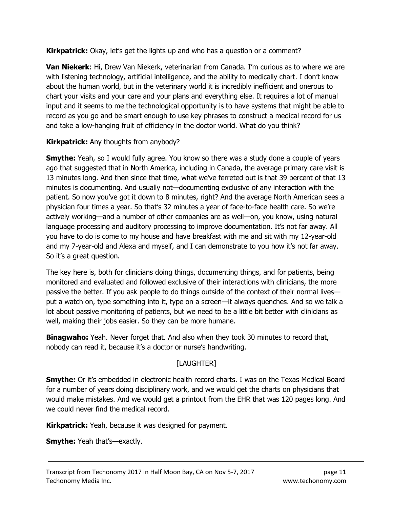**Kirkpatrick:** Okay, let's get the lights up and who has a question or a comment?

Van Niekerk: Hi, Drew Van Niekerk, veterinarian from Canada. I'm curious as to where we are with listening technology, artificial intelligence, and the ability to medically chart. I don't know about the human world, but in the veterinary world it is incredibly inefficient and onerous to chart your visits and your care and your plans and everything else. It requires a lot of manual input and it seems to me the technological opportunity is to have systems that might be able to record as you go and be smart enough to use key phrases to construct a medical record for us and take a low-hanging fruit of efficiency in the doctor world. What do you think?

**Kirkpatrick:** Any thoughts from anybody?

**Smythe:** Yeah, so I would fully agree. You know so there was a study done a couple of years ago that suggested that in North America, including in Canada, the average primary care visit is 13 minutes long. And then since that time, what we've ferreted out is that 39 percent of that 13 minutes is documenting. And usually not—documenting exclusive of any interaction with the patient. So now you've got it down to 8 minutes, right? And the average North American sees a physician four times a year. So that's 32 minutes a year of face-to-face health care. So we're actively working—and a number of other companies are as well—on, you know, using natural language processing and auditory processing to improve documentation. It's not far away. All you have to do is come to my house and have breakfast with me and sit with my 12-year-old and my 7-year-old and Alexa and myself, and I can demonstrate to you how it's not far away. So it's a great question.

The key here is, both for clinicians doing things, documenting things, and for patients, being monitored and evaluated and followed exclusive of their interactions with clinicians, the more passive the better. If you ask people to do things outside of the context of their normal lives put a watch on, type something into it, type on a screen—it always quenches. And so we talk a lot about passive monitoring of patients, but we need to be a little bit better with clinicians as well, making their jobs easier. So they can be more humane.

**Binagwaho:** Yeah. Never forget that. And also when they took 30 minutes to record that, nobody can read it, because it's a doctor or nurse's handwriting.

## [LAUGHTER]

**Smythe:** Or it's embedded in electronic health record charts. I was on the Texas Medical Board for a number of years doing disciplinary work, and we would get the charts on physicians that would make mistakes. And we would get a printout from the EHR that was 120 pages long. And we could never find the medical record.

**Kirkpatrick:** Yeah, because it was designed for payment.

**Smythe:** Yeah that's—exactly.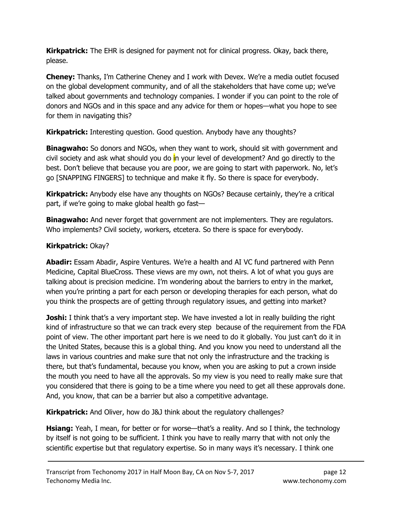**Kirkpatrick:** The EHR is designed for payment not for clinical progress. Okay, back there, please.

Cheney: Thanks, I'm Catherine Cheney and I work with Devex. We're a media outlet focused on the global development community, and of all the stakeholders that have come up; we've talked about governments and technology companies. I wonder if you can point to the role of donors and NGOs and in this space and any advice for them or hopes—what you hope to see for them in navigating this?

**Kirkpatrick:** Interesting question. Good question. Anybody have any thoughts?

**Binagwaho:** So donors and NGOs, when they want to work, should sit with government and civil society and ask what should you do in your level of development? And go directly to the best. Don't believe that because you are poor, we are going to start with paperwork. No, let's go [SNAPPING FINGERS] to technique and make it fly. So there is space for everybody.

Kirkpatrick: Anybody else have any thoughts on NGOs? Because certainly, they're a critical part, if we're going to make global health go fast—

**Binagwaho:** And never forget that government are not implementers. They are regulators. Who implements? Civil society, workers, etcetera. So there is space for everybody.

# Kirkpatrick: Okay?

**Abadir:** Essam Abadir, Aspire Ventures. We're a health and AI VC fund partnered with Penn Medicine, Capital BlueCross. These views are my own, not theirs. A lot of what you guys are talking about is precision medicine. I'm wondering about the barriers to entry in the market, when you're printing a part for each person or developing therapies for each person, what do you think the prospects are of getting through regulatory issues, and getting into market?

**Joshi:** I think that's a very important step. We have invested a lot in really building the right kind of infrastructure so that we can track every step because of the requirement from the FDA point of view. The other important part here is we need to do it globally. You just can't do it in the United States, because this is a global thing. And you know you need to understand all the laws in various countries and make sure that not only the infrastructure and the tracking is there, but that's fundamental, because you know, when you are asking to put a crown inside the mouth you need to have all the approvals. So my view is you need to really make sure that you considered that there is going to be a time where you need to get all these approvals done. And, you know, that can be a barrier but also a competitive advantage.

Kirkpatrick: And Oliver, how do J&J think about the regulatory challenges?

**Hsiang:** Yeah, I mean, for better or for worse—that's a reality. And so I think, the technology by itself is not going to be sufficient. I think you have to really marry that with not only the scientific expertise but that regulatory expertise. So in many ways it's necessary. I think one